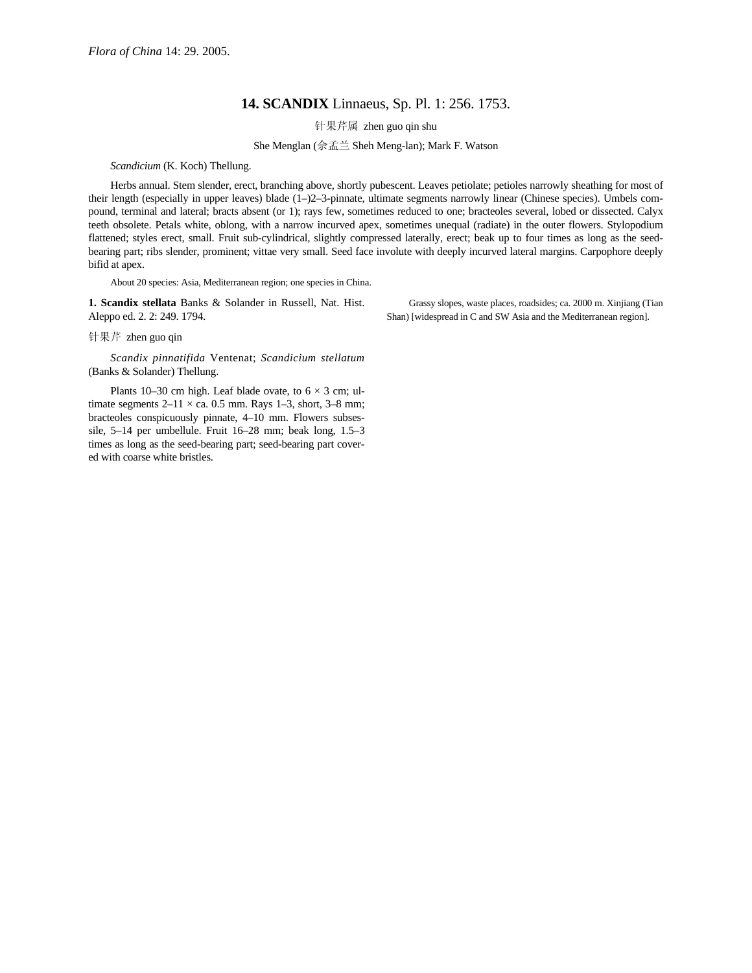## **14. SCANDIX** Linnaeus, Sp. Pl. 1: 256. 1753.

针果芹属 zhen guo qin shu

She Menglan (佘孟兰 Sheh Meng-lan); Mark F. Watson

## *Scandicium* (K. Koch) Thellung.

Herbs annual. Stem slender, erect, branching above, shortly pubescent. Leaves petiolate; petioles narrowly sheathing for most of their length (especially in upper leaves) blade (1–)2–3-pinnate, ultimate segments narrowly linear (Chinese species). Umbels compound, terminal and lateral; bracts absent (or 1); rays few, sometimes reduced to one; bracteoles several, lobed or dissected. Calyx teeth obsolete. Petals white, oblong, with a narrow incurved apex, sometimes unequal (radiate) in the outer flowers. Stylopodium flattened; styles erect, small. Fruit sub-cylindrical, slightly compressed laterally, erect; beak up to four times as long as the seedbearing part; ribs slender, prominent; vittae very small. Seed face involute with deeply incurved lateral margins. Carpophore deeply bifid at apex.

About 20 species: Asia, Mediterranean region; one species in China.

**1. Scandix stellata** Banks & Solander in Russell, Nat. Hist. Aleppo ed. 2. 2: 249. 1794.

Grassy slopes, waste places, roadsides; ca. 2000 m. Xinjiang (Tian Shan) [widespread in C and SW Asia and the Mediterranean region].

针果芹 zhen guo qin

*Scandix pinnatifida* Ventenat; *Scandicium stellatum* (Banks & Solander) Thellung.

Plants 10–30 cm high. Leaf blade ovate, to  $6 \times 3$  cm; ultimate segments  $2-11 \times$  ca. 0.5 mm. Rays 1-3, short, 3-8 mm; bracteoles conspicuously pinnate, 4–10 mm. Flowers subsessile, 5–14 per umbellule. Fruit 16–28 mm; beak long, 1.5–3 times as long as the seed-bearing part; seed-bearing part covered with coarse white bristles.